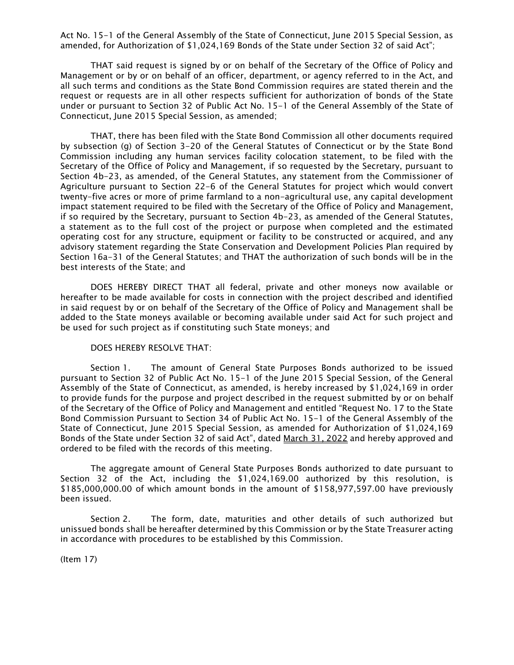Act No. 15-1 of the General Assembly of the State of Connecticut, June 2015 Special Session, as amended, for Authorization of \$1,024,169 Bonds of the State under Section 32 of said Act";

THAT said request is signed by or on behalf of the Secretary of the Office of Policy and Management or by or on behalf of an officer, department, or agency referred to in the Act, and all such terms and conditions as the State Bond Commission requires are stated therein and the request or requests are in all other respects sufficient for authorization of bonds of the State under or pursuant to Section 32 of Public Act No. 15-1 of the General Assembly of the State of Connecticut, June 2015 Special Session, as amended;

THAT, there has been filed with the State Bond Commission all other documents required by subsection (g) of Section 3-20 of the General Statutes of Connecticut or by the State Bond Commission including any human services facility colocation statement, to be filed with the Secretary of the Office of Policy and Management, if so requested by the Secretary, pursuant to Section 4b-23, as amended, of the General Statutes, any statement from the Commissioner of Agriculture pursuant to Section 22-6 of the General Statutes for project which would convert twenty-five acres or more of prime farmland to a non-agricultural use, any capital development impact statement required to be filed with the Secretary of the Office of Policy and Management, if so required by the Secretary, pursuant to Section 4b-23, as amended of the General Statutes, a statement as to the full cost of the project or purpose when completed and the estimated operating cost for any structure, equipment or facility to be constructed or acquired, and any advisory statement regarding the State Conservation and Development Policies Plan required by Section 16a-31 of the General Statutes; and THAT the authorization of such bonds will be in the best interests of the State; and

DOES HEREBY DIRECT THAT all federal, private and other moneys now available or hereafter to be made available for costs in connection with the project described and identified in said request by or on behalf of the Secretary of the Office of Policy and Management shall be added to the State moneys available or becoming available under said Act for such project and be used for such project as if constituting such State moneys; and

## DOES HEREBY RESOLVE THAT:

Section 1. The amount of General State Purposes Bonds authorized to be issued pursuant to Section 32 of Public Act No. 15-1 of the June 2015 Special Session, of the General Assembly of the State of Connecticut, as amended, is hereby increased by \$1,024,169 in order to provide funds for the purpose and project described in the request submitted by or on behalf of the Secretary of the Office of Policy and Management and entitled "Request No. 17 to the State Bond Commission Pursuant to Section 34 of Public Act No. 15-1 of the General Assembly of the State of Connecticut, June 2015 Special Session, as amended for Authorization of \$1,024,169 Bonds of the State under Section 32 of said Act", dated March 31, 2022 and hereby approved and ordered to be filed with the records of this meeting.

The aggregate amount of General State Purposes Bonds authorized to date pursuant to Section 32 of the Act, including the \$1,024,169.00 authorized by this resolution, is \$185,000,000.00 of which amount bonds in the amount of \$158,977,597.00 have previously been issued.

Section 2. The form, date, maturities and other details of such authorized but unissued bonds shall be hereafter determined by this Commission or by the State Treasurer acting in accordance with procedures to be established by this Commission.

(Item 17)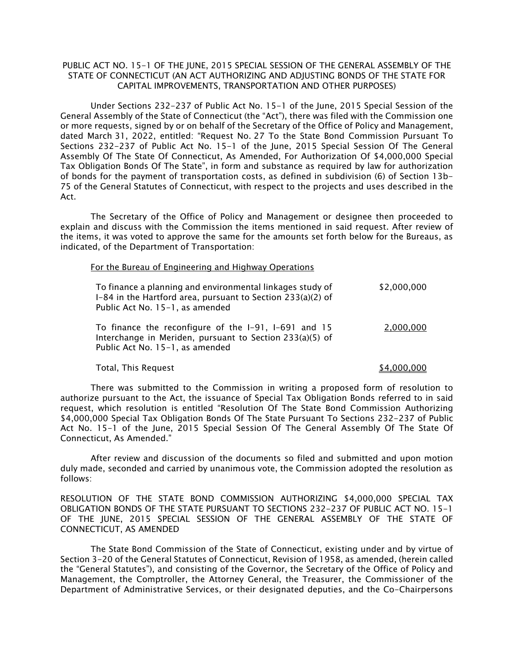# PUBLIC ACT NO. 15-1 OF THE JUNE, 2015 SPECIAL SESSION OF THE GENERAL ASSEMBLY OF THE STATE OF CONNECTICUT (AN ACT AUTHORIZING AND ADJUSTING BONDS OF THE STATE FOR CAPITAL IMPROVEMENTS, TRANSPORTATION AND OTHER PURPOSES)

 Under Sections 232-237 of Public Act No. 15-1 of the June, 2015 Special Session of the General Assembly of the State of Connecticut (the "Act"), there was filed with the Commission one or more requests, signed by or on behalf of the Secretary of the Office of Policy and Management, dated March 31, 2022, entitled: "Request No. 27 To the State Bond Commission Pursuant To Sections 232-237 of Public Act No. 15-1 of the June, 2015 Special Session Of The General Assembly Of The State Of Connecticut, As Amended, For Authorization Of \$4,000,000 Special Tax Obligation Bonds Of The State", in form and substance as required by law for authorization of bonds for the payment of transportation costs, as defined in subdivision (6) of Section 13b-75 of the General Statutes of Connecticut, with respect to the projects and uses described in the Act.

The Secretary of the Office of Policy and Management or designee then proceeded to explain and discuss with the Commission the items mentioned in said request. After review of the items, it was voted to approve the same for the amounts set forth below for the Bureaus, as indicated, of the Department of Transportation:

#### For the Bureau of Engineering and Highway Operations

| To finance a planning and environmental linkages study of<br>I-84 in the Hartford area, pursuant to Section 233(a)(2) of<br>Public Act No. 15-1, as amended | \$2,000,000 |
|-------------------------------------------------------------------------------------------------------------------------------------------------------------|-------------|
| To finance the reconfigure of the I-91, I-691 and 15<br>Interchange in Meriden, pursuant to Section 233(a)(5) of<br>Public Act No. 15-1, as amended         | 2,000,000   |

## Total, This Request  $$4,000,000$

There was submitted to the Commission in writing a proposed form of resolution to authorize pursuant to the Act, the issuance of Special Tax Obligation Bonds referred to in said request, which resolution is entitled "Resolution Of The State Bond Commission Authorizing \$4,000,000 Special Tax Obligation Bonds Of The State Pursuant To Sections 232-237 of Public Act No. 15-1 of the June, 2015 Special Session Of The General Assembly Of The State Of Connecticut, As Amended."

After review and discussion of the documents so filed and submitted and upon motion duly made, seconded and carried by unanimous vote, the Commission adopted the resolution as follows:

RESOLUTION OF THE STATE BOND COMMISSION AUTHORIZING \$4,000,000 SPECIAL TAX OBLIGATION BONDS OF THE STATE PURSUANT TO SECTIONS 232-237 OF PUBLIC ACT NO. 15-1 OF THE JUNE, 2015 SPECIAL SESSION OF THE GENERAL ASSEMBLY OF THE STATE OF CONNECTICUT, AS AMENDED

The State Bond Commission of the State of Connecticut, existing under and by virtue of Section 3-20 of the General Statutes of Connecticut, Revision of 1958, as amended, (herein called the "General Statutes"), and consisting of the Governor, the Secretary of the Office of Policy and Management, the Comptroller, the Attorney General, the Treasurer, the Commissioner of the Department of Administrative Services, or their designated deputies, and the Co-Chairpersons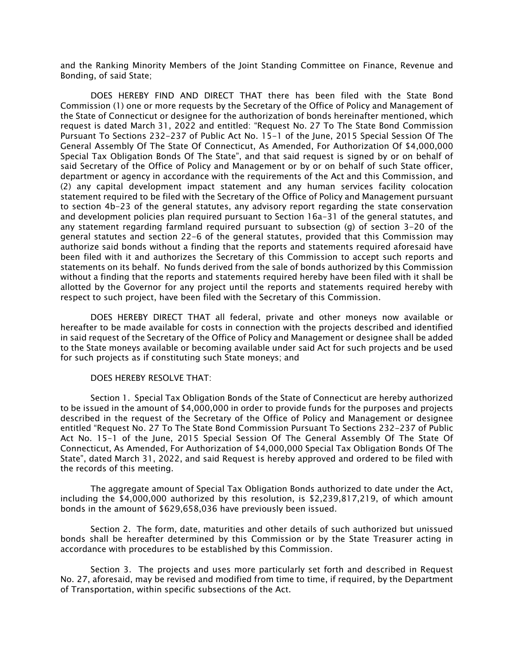and the Ranking Minority Members of the Joint Standing Committee on Finance, Revenue and Bonding, of said State;

DOES HEREBY FIND AND DIRECT THAT there has been filed with the State Bond Commission (1) one or more requests by the Secretary of the Office of Policy and Management of the State of Connecticut or designee for the authorization of bonds hereinafter mentioned, which request is dated March 31, 2022 and entitled: "Request No. 27 To The State Bond Commission Pursuant To Sections 232-237 of Public Act No. 15-1 of the June, 2015 Special Session Of The General Assembly Of The State Of Connecticut, As Amended, For Authorization Of \$4,000,000 Special Tax Obligation Bonds Of The State", and that said request is signed by or on behalf of said Secretary of the Office of Policy and Management or by or on behalf of such State officer, department or agency in accordance with the requirements of the Act and this Commission, and (2) any capital development impact statement and any human services facility colocation statement required to be filed with the Secretary of the Office of Policy and Management pursuant to section 4b-23 of the general statutes, any advisory report regarding the state conservation and development policies plan required pursuant to Section 16a-31 of the general statutes, and any statement regarding farmland required pursuant to subsection (g) of section 3-20 of the general statutes and section 22-6 of the general statutes, provided that this Commission may authorize said bonds without a finding that the reports and statements required aforesaid have been filed with it and authorizes the Secretary of this Commission to accept such reports and statements on its behalf. No funds derived from the sale of bonds authorized by this Commission without a finding that the reports and statements required hereby have been filed with it shall be allotted by the Governor for any project until the reports and statements required hereby with respect to such project, have been filed with the Secretary of this Commission.

DOES HEREBY DIRECT THAT all federal, private and other moneys now available or hereafter to be made available for costs in connection with the projects described and identified in said request of the Secretary of the Office of Policy and Management or designee shall be added to the State moneys available or becoming available under said Act for such projects and be used for such projects as if constituting such State moneys; and

## DOES HEREBY RESOLVE THAT:

Section 1. Special Tax Obligation Bonds of the State of Connecticut are hereby authorized to be issued in the amount of \$4,000,000 in order to provide funds for the purposes and projects described in the request of the Secretary of the Office of Policy and Management or designee entitled "Request No. 27 To The State Bond Commission Pursuant To Sections 232-237 of Public Act No. 15-1 of the June, 2015 Special Session Of The General Assembly Of The State Of Connecticut, As Amended, For Authorization of \$4,000,000 Special Tax Obligation Bonds Of The State", dated March 31, 2022, and said Request is hereby approved and ordered to be filed with the records of this meeting.

The aggregate amount of Special Tax Obligation Bonds authorized to date under the Act, including the \$4,000,000 authorized by this resolution, is \$2,239,817,219, of which amount bonds in the amount of \$629,658,036 have previously been issued.

Section 2. The form, date, maturities and other details of such authorized but unissued bonds shall be hereafter determined by this Commission or by the State Treasurer acting in accordance with procedures to be established by this Commission.

Section 3. The projects and uses more particularly set forth and described in Request No. 27, aforesaid, may be revised and modified from time to time, if required, by the Department of Transportation, within specific subsections of the Act.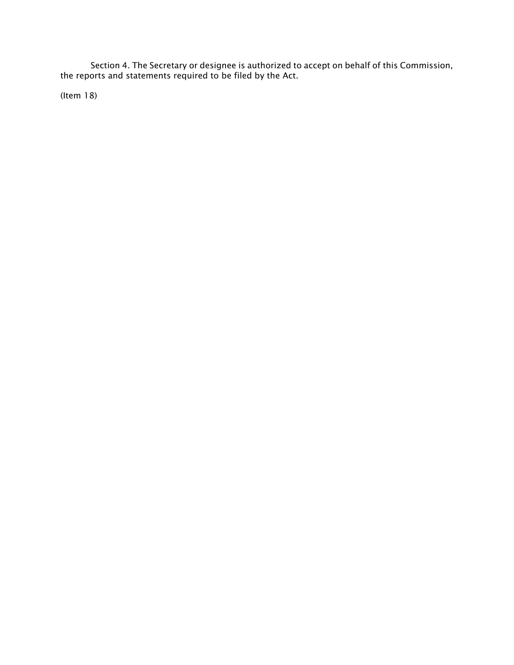Section 4. The Secretary or designee is authorized to accept on behalf of this Commission, the reports and statements required to be filed by the Act.

(Item 18)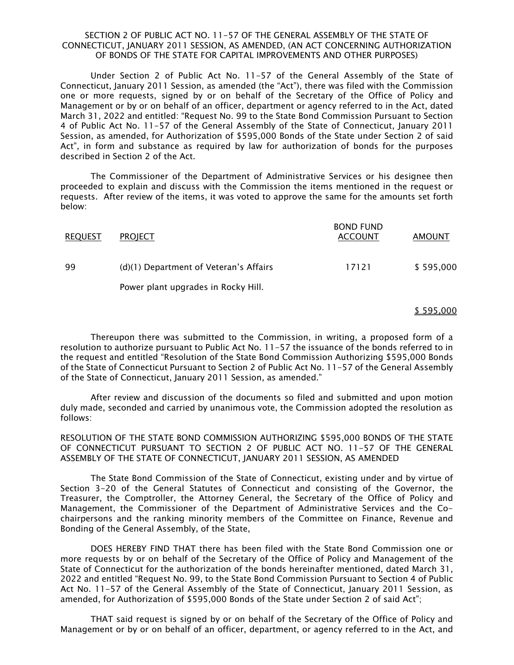## SECTION 2 OF PUBLIC ACT NO. 11-57 OF THE GENERAL ASSEMBLY OF THE STATE OF CONNECTICUT, JANUARY 2011 SESSION, AS AMENDED, (AN ACT CONCERNING AUTHORIZATION OF BONDS OF THE STATE FOR CAPITAL IMPROVEMENTS AND OTHER PURPOSES)

Under Section 2 of Public Act No. 11-57 of the General Assembly of the State of Connecticut, January 2011 Session, as amended (the "Act"), there was filed with the Commission one or more requests, signed by or on behalf of the Secretary of the Office of Policy and Management or by or on behalf of an officer, department or agency referred to in the Act, dated March 31, 2022 and entitled: "Request No. 99 to the State Bond Commission Pursuant to Section 4 of Public Act No. 11-57 of the General Assembly of the State of Connecticut, January 2011 Session, as amended, for Authorization of \$595,000 Bonds of the State under Section 2 of said Act", in form and substance as required by law for authorization of bonds for the purposes described in Section 2 of the Act.

The Commissioner of the Department of Administrative Services or his designee then proceeded to explain and discuss with the Commission the items mentioned in the request or requests. After review of the items, it was voted to approve the same for the amounts set forth below:

| <b>REQUEST</b> | <b>PROJECT</b>                         | <b>BOND FUND</b><br><b>ACCOUNT</b> | <b>AMOUNT</b> |
|----------------|----------------------------------------|------------------------------------|---------------|
| 99             | (d)(1) Department of Veteran's Affairs | 17121                              | \$595,000     |
|                | Power plant upgrades in Rocky Hill.    |                                    |               |

#### \$ 595,000

Thereupon there was submitted to the Commission, in writing, a proposed form of a resolution to authorize pursuant to Public Act No. 11-57 the issuance of the bonds referred to in the request and entitled "Resolution of the State Bond Commission Authorizing \$595,000 Bonds of the State of Connecticut Pursuant to Section 2 of Public Act No. 11-57 of the General Assembly of the State of Connecticut, January 2011 Session, as amended."

After review and discussion of the documents so filed and submitted and upon motion duly made, seconded and carried by unanimous vote, the Commission adopted the resolution as follows:

RESOLUTION OF THE STATE BOND COMMISSION AUTHORIZING \$595,000 BONDS OF THE STATE OF CONNECTICUT PURSUANT TO SECTION 2 OF PUBLIC ACT NO. 11-57 OF THE GENERAL ASSEMBLY OF THE STATE OF CONNECTICUT, JANUARY 2011 SESSION, AS AMENDED

The State Bond Commission of the State of Connecticut, existing under and by virtue of Section 3-20 of the General Statutes of Connecticut and consisting of the Governor, the Treasurer, the Comptroller, the Attorney General, the Secretary of the Office of Policy and Management, the Commissioner of the Department of Administrative Services and the Cochairpersons and the ranking minority members of the Committee on Finance, Revenue and Bonding of the General Assembly, of the State,

DOES HEREBY FIND THAT there has been filed with the State Bond Commission one or more requests by or on behalf of the Secretary of the Office of Policy and Management of the State of Connecticut for the authorization of the bonds hereinafter mentioned, dated March 31, 2022 and entitled "Request No. 99, to the State Bond Commission Pursuant to Section 4 of Public Act No. 11-57 of the General Assembly of the State of Connecticut, January 2011 Session, as amended, for Authorization of \$595,000 Bonds of the State under Section 2 of said Act";

THAT said request is signed by or on behalf of the Secretary of the Office of Policy and Management or by or on behalf of an officer, department, or agency referred to in the Act, and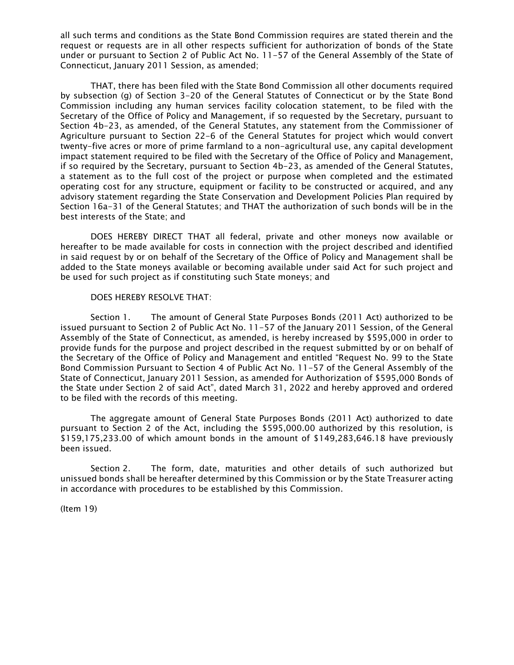all such terms and conditions as the State Bond Commission requires are stated therein and the request or requests are in all other respects sufficient for authorization of bonds of the State under or pursuant to Section 2 of Public Act No. 11-57 of the General Assembly of the State of Connecticut, January 2011 Session, as amended;

THAT, there has been filed with the State Bond Commission all other documents required by subsection (g) of Section 3-20 of the General Statutes of Connecticut or by the State Bond Commission including any human services facility colocation statement, to be filed with the Secretary of the Office of Policy and Management, if so requested by the Secretary, pursuant to Section 4b-23, as amended, of the General Statutes, any statement from the Commissioner of Agriculture pursuant to Section 22-6 of the General Statutes for project which would convert twenty-five acres or more of prime farmland to a non-agricultural use, any capital development impact statement required to be filed with the Secretary of the Office of Policy and Management, if so required by the Secretary, pursuant to Section 4b-23, as amended of the General Statutes, a statement as to the full cost of the project or purpose when completed and the estimated operating cost for any structure, equipment or facility to be constructed or acquired, and any advisory statement regarding the State Conservation and Development Policies Plan required by Section 16a-31 of the General Statutes; and THAT the authorization of such bonds will be in the best interests of the State; and

DOES HEREBY DIRECT THAT all federal, private and other moneys now available or hereafter to be made available for costs in connection with the project described and identified in said request by or on behalf of the Secretary of the Office of Policy and Management shall be added to the State moneys available or becoming available under said Act for such project and be used for such project as if constituting such State moneys; and

# DOES HEREBY RESOLVE THAT:

Section 1. The amount of General State Purposes Bonds (2011 Act) authorized to be issued pursuant to Section 2 of Public Act No. 11-57 of the January 2011 Session, of the General Assembly of the State of Connecticut, as amended, is hereby increased by \$595,000 in order to provide funds for the purpose and project described in the request submitted by or on behalf of the Secretary of the Office of Policy and Management and entitled "Request No. 99 to the State Bond Commission Pursuant to Section 4 of Public Act No. 11-57 of the General Assembly of the State of Connecticut, January 2011 Session, as amended for Authorization of \$595,000 Bonds of the State under Section 2 of said Act", dated March 31, 2022 and hereby approved and ordered to be filed with the records of this meeting.

The aggregate amount of General State Purposes Bonds (2011 Act) authorized to date pursuant to Section 2 of the Act, including the \$595,000.00 authorized by this resolution, is \$159,175,233.00 of which amount bonds in the amount of \$149,283,646.18 have previously been issued.

Section 2. The form, date, maturities and other details of such authorized but unissued bonds shall be hereafter determined by this Commission or by the State Treasurer acting in accordance with procedures to be established by this Commission.

(Item 19)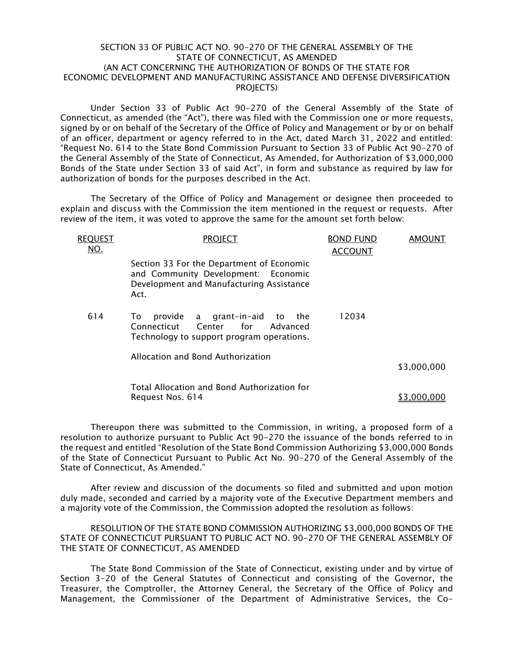# SECTION 33 OF PUBLIC ACT NO. 90-270 OF THE GENERAL ASSEMBLY OF THE STATE OF CONNECTICUT, AS AMENDED (AN ACT CONCERNING THE AUTHORIZATION OF BONDS OF THE STATE FOR ECONOMIC DEVELOPMENT AND MANUFACTURING ASSISTANCE AND DEFENSE DIVERSIFICATION PROJECTS)

Under Section 33 of Public Act 90-270 of the General Assembly of the State of Connecticut, as amended (the "Act"), there was filed with the Commission one or more requests, signed by or on behalf of the Secretary of the Office of Policy and Management or by or on behalf of an officer, department or agency referred to in the Act, dated March 31, 2022 and entitled: "Request No. 614 to the State Bond Commission Pursuant to Section 33 of Public Act 90-270 of the General Assembly of the State of Connecticut, As Amended, for Authorization of \$3,000,000 Bonds of the State under Section 33 of said Act", in form and substance as required by law for authorization of bonds for the purposes described in the Act.

The Secretary of the Office of Policy and Management or designee then proceeded to explain and discuss with the Commission the item mentioned in the request or requests. After review of the item, it was voted to approve the same for the amount set forth below:

| <b>REQUEST</b><br><u>NO.</u> | <b>PROJECT</b>                                                                                                                       | <b>BOND FUND</b><br><b>ACCOUNT</b> | <b>AMOUNT</b> |
|------------------------------|--------------------------------------------------------------------------------------------------------------------------------------|------------------------------------|---------------|
|                              | Section 33 For the Department of Economic<br>and Community Development: Economic<br>Development and Manufacturing Assistance<br>Act. |                                    |               |
| 614                          | provide a grant-in-aid to the<br>To:<br>Center for<br>Connecticut<br>Advanced<br>Technology to support program operations.           | 12034                              |               |
|                              | Allocation and Bond Authorization                                                                                                    |                                    | \$3,000,000   |
|                              | Total Allocation and Bond Authorization for<br>Request Nos. 614                                                                      |                                    | \$3.000.000   |

Thereupon there was submitted to the Commission, in writing, a proposed form of a resolution to authorize pursuant to Public Act 90-270 the issuance of the bonds referred to in the request and entitled "Resolution of the State Bond Commission Authorizing \$3,000,000 Bonds of the State of Connecticut Pursuant to Public Act No. 90-270 of the General Assembly of the State of Connecticut, As Amended."

After review and discussion of the documents so filed and submitted and upon motion duly made, seconded and carried by a majority vote of the Executive Department members and a majority vote of the Commission, the Commission adopted the resolution as follows:

RESOLUTION OF THE STATE BOND COMMISSION AUTHORIZING \$3,000,000 BONDS OF THE STATE OF CONNECTICUT PURSUANT TO PUBLIC ACT NO. 90-270 OF THE GENERAL ASSEMBLY OF THE STATE OF CONNECTICUT, AS AMENDED

The State Bond Commission of the State of Connecticut, existing under and by virtue of Section 3-20 of the General Statutes of Connecticut and consisting of the Governor, the Treasurer, the Comptroller, the Attorney General, the Secretary of the Office of Policy and Management, the Commissioner of the Department of Administrative Services, the Co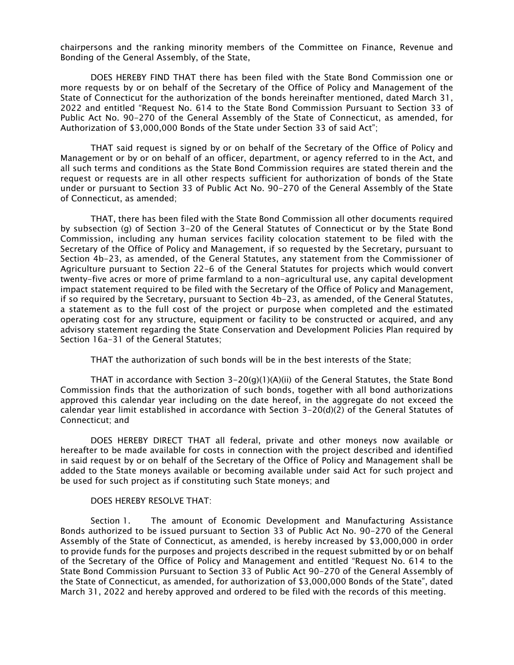chairpersons and the ranking minority members of the Committee on Finance, Revenue and Bonding of the General Assembly, of the State,

DOES HEREBY FIND THAT there has been filed with the State Bond Commission one or more requests by or on behalf of the Secretary of the Office of Policy and Management of the State of Connecticut for the authorization of the bonds hereinafter mentioned, dated March 31, 2022 and entitled "Request No. 614 to the State Bond Commission Pursuant to Section 33 of Public Act No. 90-270 of the General Assembly of the State of Connecticut, as amended, for Authorization of \$3,000,000 Bonds of the State under Section 33 of said Act";

THAT said request is signed by or on behalf of the Secretary of the Office of Policy and Management or by or on behalf of an officer, department, or agency referred to in the Act, and all such terms and conditions as the State Bond Commission requires are stated therein and the request or requests are in all other respects sufficient for authorization of bonds of the State under or pursuant to Section 33 of Public Act No. 90-270 of the General Assembly of the State of Connecticut, as amended;

THAT, there has been filed with the State Bond Commission all other documents required by subsection (g) of Section 3-20 of the General Statutes of Connecticut or by the State Bond Commission, including any human services facility colocation statement to be filed with the Secretary of the Office of Policy and Management, if so requested by the Secretary, pursuant to Section 4b-23, as amended, of the General Statutes, any statement from the Commissioner of Agriculture pursuant to Section 22-6 of the General Statutes for projects which would convert twenty-five acres or more of prime farmland to a non-agricultural use, any capital development impact statement required to be filed with the Secretary of the Office of Policy and Management, if so required by the Secretary, pursuant to Section 4b-23, as amended, of the General Statutes, a statement as to the full cost of the project or purpose when completed and the estimated operating cost for any structure, equipment or facility to be constructed or acquired, and any advisory statement regarding the State Conservation and Development Policies Plan required by Section 16a-31 of the General Statutes;

THAT the authorization of such bonds will be in the best interests of the State;

THAT in accordance with Section  $3-20(q)(1)(A)(ii)$  of the General Statutes, the State Bond Commission finds that the authorization of such bonds, together with all bond authorizations approved this calendar year including on the date hereof, in the aggregate do not exceed the calendar year limit established in accordance with Section 3-20(d)(2) of the General Statutes of Connecticut; and

DOES HEREBY DIRECT THAT all federal, private and other moneys now available or hereafter to be made available for costs in connection with the project described and identified in said request by or on behalf of the Secretary of the Office of Policy and Management shall be added to the State moneys available or becoming available under said Act for such project and be used for such project as if constituting such State moneys; and

# DOES HEREBY RESOLVE THAT:

Section 1. The amount of Economic Development and Manufacturing Assistance Bonds authorized to be issued pursuant to Section 33 of Public Act No. 90-270 of the General Assembly of the State of Connecticut, as amended, is hereby increased by \$3,000,000 in order to provide funds for the purposes and projects described in the request submitted by or on behalf of the Secretary of the Office of Policy and Management and entitled "Request No. 614 to the State Bond Commission Pursuant to Section 33 of Public Act 90-270 of the General Assembly of the State of Connecticut, as amended, for authorization of \$3,000,000 Bonds of the State", dated March 31, 2022 and hereby approved and ordered to be filed with the records of this meeting.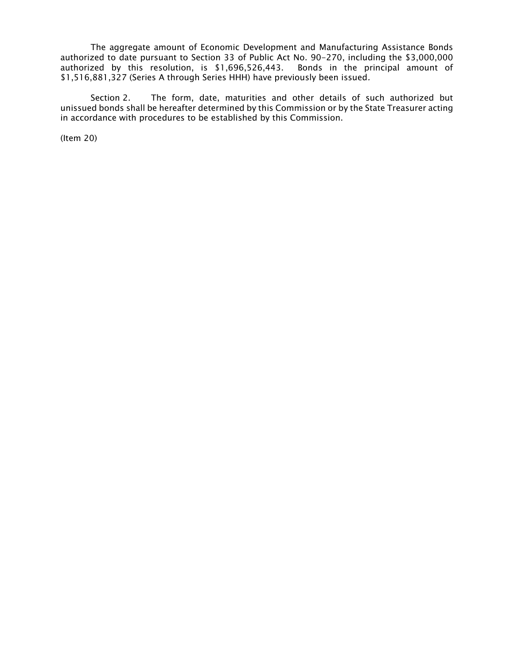The aggregate amount of Economic Development and Manufacturing Assistance Bonds authorized to date pursuant to Section 33 of Public Act No. 90-270, including the \$3,000,000 authorized by this resolution, is \$1,696,526,443. Bonds in the principal amount of \$1,516,881,327 (Series A through Series HHH) have previously been issued.

Section 2. The form, date, maturities and other details of such authorized but unissued bonds shall be hereafter determined by this Commission or by the State Treasurer acting in accordance with procedures to be established by this Commission.

(Item 20)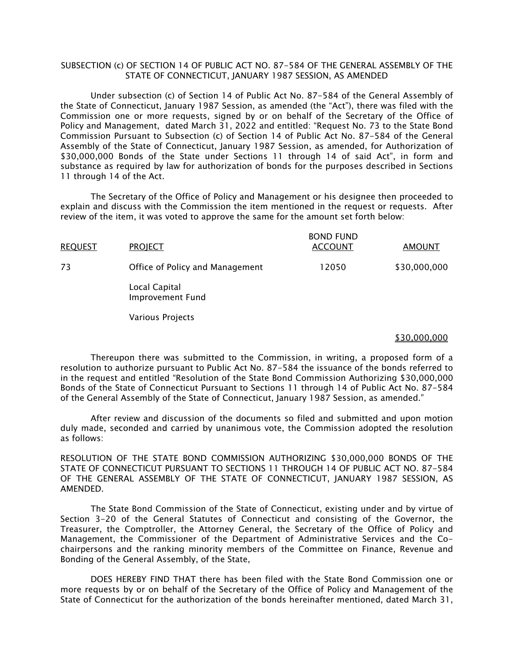# SUBSECTION (c) OF SECTION 14 OF PUBLIC ACT NO. 87-584 OF THE GENERAL ASSEMBLY OF THE STATE OF CONNECTICUT, JANUARY 1987 SESSION, AS AMENDED

Under subsection (c) of Section 14 of Public Act No. 87-584 of the General Assembly of the State of Connecticut, January 1987 Session, as amended (the "Act"), there was filed with the Commission one or more requests, signed by or on behalf of the Secretary of the Office of Policy and Management, dated March 31, 2022 and entitled: "Request No. 73 to the State Bond Commission Pursuant to Subsection (c) of Section 14 of Public Act No. 87-584 of the General Assembly of the State of Connecticut, January 1987 Session, as amended, for Authorization of \$30,000,000 Bonds of the State under Sections 11 through 14 of said Act", in form and substance as required by law for authorization of bonds for the purposes described in Sections 11 through 14 of the Act.

The Secretary of the Office of Policy and Management or his designee then proceeded to explain and discuss with the Commission the item mentioned in the request or requests. After review of the item, it was voted to approve the same for the amount set forth below:

| <b>REQUEST</b> | <b>PROJECT</b>                           | <b>BOND FUND</b><br><b>ACCOUNT</b> | <b>AMOUNT</b> |
|----------------|------------------------------------------|------------------------------------|---------------|
| 73             | Office of Policy and Management          | 12050                              | \$30,000,000  |
|                | Local Capital<br><b>Improvement Fund</b> |                                    |               |
|                | Various Projects                         |                                    |               |

#### \$30,000,000

Thereupon there was submitted to the Commission, in writing, a proposed form of a resolution to authorize pursuant to Public Act No. 87-584 the issuance of the bonds referred to in the request and entitled "Resolution of the State Bond Commission Authorizing \$30,000,000 Bonds of the State of Connecticut Pursuant to Sections 11 through 14 of Public Act No. 87-584 of the General Assembly of the State of Connecticut, January 1987 Session, as amended."

After review and discussion of the documents so filed and submitted and upon motion duly made, seconded and carried by unanimous vote, the Commission adopted the resolution as follows:

RESOLUTION OF THE STATE BOND COMMISSION AUTHORIZING \$30,000,000 BONDS OF THE STATE OF CONNECTICUT PURSUANT TO SECTIONS 11 THROUGH 14 OF PUBLIC ACT NO. 87-584 OF THE GENERAL ASSEMBLY OF THE STATE OF CONNECTICUT, JANUARY 1987 SESSION, AS AMENDED.

The State Bond Commission of the State of Connecticut, existing under and by virtue of Section 3-20 of the General Statutes of Connecticut and consisting of the Governor, the Treasurer, the Comptroller, the Attorney General, the Secretary of the Office of Policy and Management, the Commissioner of the Department of Administrative Services and the Cochairpersons and the ranking minority members of the Committee on Finance, Revenue and Bonding of the General Assembly, of the State,

DOES HEREBY FIND THAT there has been filed with the State Bond Commission one or more requests by or on behalf of the Secretary of the Office of Policy and Management of the State of Connecticut for the authorization of the bonds hereinafter mentioned, dated March 31,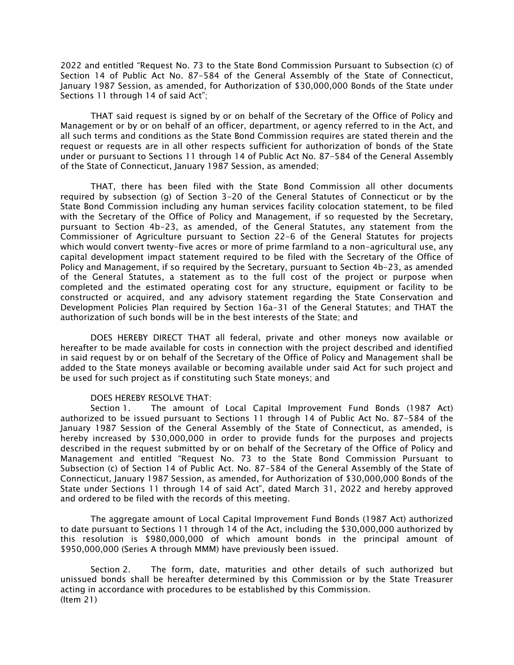2022 and entitled "Request No. 73 to the State Bond Commission Pursuant to Subsection (c) of Section 14 of Public Act No. 87-584 of the General Assembly of the State of Connecticut, January 1987 Session, as amended, for Authorization of \$30,000,000 Bonds of the State under Sections 11 through 14 of said Act";

THAT said request is signed by or on behalf of the Secretary of the Office of Policy and Management or by or on behalf of an officer, department, or agency referred to in the Act, and all such terms and conditions as the State Bond Commission requires are stated therein and the request or requests are in all other respects sufficient for authorization of bonds of the State under or pursuant to Sections 11 through 14 of Public Act No. 87-584 of the General Assembly of the State of Connecticut, January 1987 Session, as amended;

THAT, there has been filed with the State Bond Commission all other documents required by subsection (g) of Section 3-20 of the General Statutes of Connecticut or by the State Bond Commission including any human services facility colocation statement, to be filed with the Secretary of the Office of Policy and Management, if so requested by the Secretary, pursuant to Section 4b-23, as amended, of the General Statutes, any statement from the Commissioner of Agriculture pursuant to Section 22-6 of the General Statutes for projects which would convert twenty-five acres or more of prime farmland to a non-agricultural use, any capital development impact statement required to be filed with the Secretary of the Office of Policy and Management, if so required by the Secretary, pursuant to Section 4b-23, as amended of the General Statutes, a statement as to the full cost of the project or purpose when completed and the estimated operating cost for any structure, equipment or facility to be constructed or acquired, and any advisory statement regarding the State Conservation and Development Policies Plan required by Section 16a-31 of the General Statutes; and THAT the authorization of such bonds will be in the best interests of the State; and

DOES HEREBY DIRECT THAT all federal, private and other moneys now available or hereafter to be made available for costs in connection with the project described and identified in said request by or on behalf of the Secretary of the Office of Policy and Management shall be added to the State moneys available or becoming available under said Act for such project and be used for such project as if constituting such State moneys; and

## DOES HEREBY RESOLVE THAT:

Section 1. The amount of Local Capital Improvement Fund Bonds (1987 Act) authorized to be issued pursuant to Sections 11 through 14 of Public Act No. 87-584 of the January 1987 Session of the General Assembly of the State of Connecticut, as amended, is hereby increased by \$30,000,000 in order to provide funds for the purposes and projects described in the request submitted by or on behalf of the Secretary of the Office of Policy and Management and entitled "Request No. 73 to the State Bond Commission Pursuant to Subsection (c) of Section 14 of Public Act. No. 87-584 of the General Assembly of the State of Connecticut, January 1987 Session, as amended, for Authorization of \$30,000,000 Bonds of the State under Sections 11 through 14 of said Act", dated March 31, 2022 and hereby approved and ordered to be filed with the records of this meeting.

The aggregate amount of Local Capital Improvement Fund Bonds (1987 Act) authorized to date pursuant to Sections 11 through 14 of the Act, including the \$30,000,000 authorized by this resolution is \$980,000,000 of which amount bonds in the principal amount of \$950,000,000 (Series A through MMM) have previously been issued.

Section 2. The form, date, maturities and other details of such authorized but unissued bonds shall be hereafter determined by this Commission or by the State Treasurer acting in accordance with procedures to be established by this Commission. (Item 21)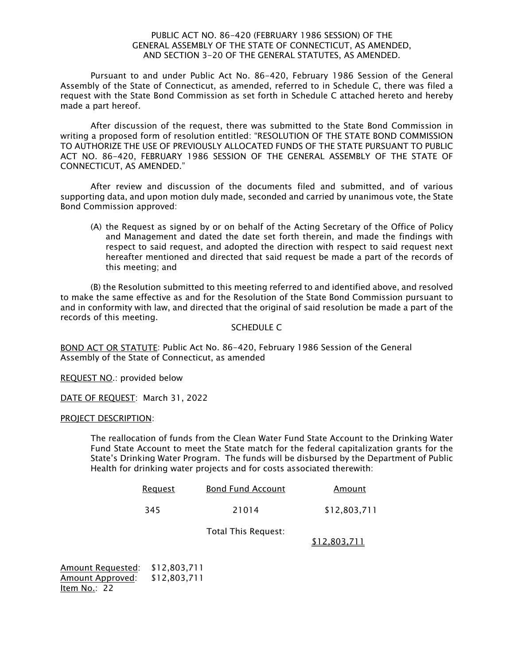# PUBLIC ACT NO. 86-420 (FEBRUARY 1986 SESSION) OF THE GENERAL ASSEMBLY OF THE STATE OF CONNECTICUT, AS AMENDED, AND SECTION 3-20 OF THE GENERAL STATUTES, AS AMENDED.

Pursuant to and under Public Act No. 86-420, February 1986 Session of the General Assembly of the State of Connecticut, as amended, referred to in Schedule C, there was filed a request with the State Bond Commission as set forth in Schedule C attached hereto and hereby made a part hereof.

After discussion of the request, there was submitted to the State Bond Commission in writing a proposed form of resolution entitled: "RESOLUTION OF THE STATE BOND COMMISSION TO AUTHORIZE THE USE OF PREVIOUSLY ALLOCATED FUNDS OF THE STATE PURSUANT TO PUBLIC ACT NO. 86-420, FEBRUARY 1986 SESSION OF THE GENERAL ASSEMBLY OF THE STATE OF CONNECTICUT, AS AMENDED."

After review and discussion of the documents filed and submitted, and of various supporting data, and upon motion duly made, seconded and carried by unanimous vote, the State Bond Commission approved:

(A) the Request as signed by or on behalf of the Acting Secretary of the Office of Policy and Management and dated the date set forth therein, and made the findings with respect to said request, and adopted the direction with respect to said request next hereafter mentioned and directed that said request be made a part of the records of this meeting; and

(B) the Resolution submitted to this meeting referred to and identified above, and resolved to make the same effective as and for the Resolution of the State Bond Commission pursuant to and in conformity with law, and directed that the original of said resolution be made a part of the records of this meeting.

# SCHEDULE C

BOND ACT OR STATUTE: Public Act No. 86-420, February 1986 Session of the General Assembly of the State of Connecticut, as amended

REQUEST NO.: provided below

DATE OF REQUEST: March 31, 2022

PROJECT DESCRIPTION:

The reallocation of funds from the Clean Water Fund State Account to the Drinking Water Fund State Account to meet the State match for the federal capitalization grants for the State's Drinking Water Program. The funds will be disbursed by the Department of Public Health for drinking water projects and for costs associated therewith:

| <u>Request</u> | <b>Bond Fund Account</b> | Amount       |
|----------------|--------------------------|--------------|
| 345            | 21014                    | \$12,803,711 |

Total This Request:

\$12,803,711

Amount Requested: \$12,803,711 Amount Approved: \$12,803,711 Item No.: 22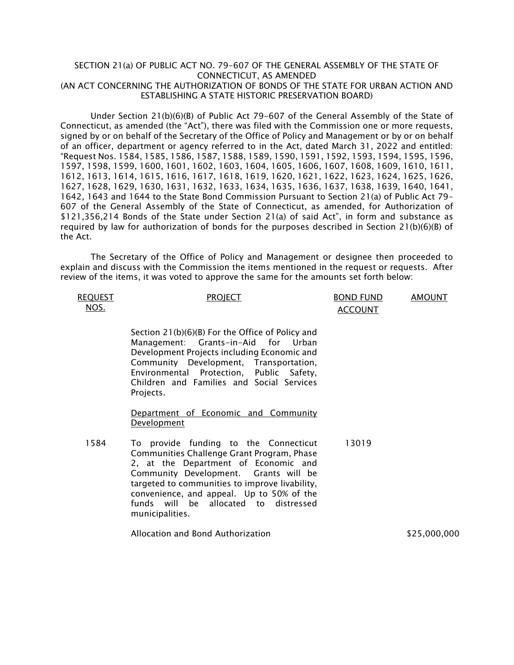# SECTION 21(a) OF PUBLIC ACT NO. 79-607 OF THE GENERAL ASSEMBLY OF THE STATE OF CONNECTICUT, AS AMENDED (AN ACT CONCERNING THE AUTHORIZATION OF BONDS OF THE STATE FOR URBAN ACTION AND ESTABLISHING A STATE HISTORIC PRESERVATION BOARD)

Under Section 21(b)(6)(B) of Public Act 79-607 of the General Assembly of the State of Connecticut, as amended (the "Act"), there was filed with the Commission one or more requests, signed by or on behalf of the Secretary of the Office of Policy and Management or by or on behalf of an officer, department or agency referred to in the Act, dated March 31, 2022 and entitled: "Request Nos. 1584, 1585, 1586, 1587, 1588, 1589, 1590, 1591, 1592, 1593, 1594, 1595, 1596, 1597, 1598, 1599, 1600, 1601, 1602, 1603, 1604, 1605, 1606, 1607, 1608, 1609, 1610, 1611, 1612, 1613, 1614, 1615, 1616, 1617, 1618, 1619, 1620, 1621, 1622, 1623, 1624, 1625, 1626, 1627, 1628, 1629, 1630, 1631, 1632, 1633, 1634, 1635, 1636, 1637, 1638, 1639, 1640, 1641, 1642, 1643 and 1644 to the State Bond Commission Pursuant to Section 21(a) of Public Act 79- 607 of the General Assembly of the State of Connecticut, as amended, for Authorization of \$121,356,214 Bonds of the State under Section 21(a) of said Act", in form and substance as required by law for authorization of bonds for the purposes described in Section 21(b)(6)(B) of the Act.

The Secretary of the Office of Policy and Management or designee then proceeded to explain and discuss with the Commission the items mentioned in the request or requests. After review of the items, it was voted to approve the same for the amounts set forth below:

| <b>REQUEST</b><br>NOS. | <b>PROJECT</b>                                                                                                                                                                                                                                                                                                                  | <b>BOND FUND</b><br><b>ACCOUNT</b> | <b>AMOUNT</b> |
|------------------------|---------------------------------------------------------------------------------------------------------------------------------------------------------------------------------------------------------------------------------------------------------------------------------------------------------------------------------|------------------------------------|---------------|
|                        | Section 21(b)(6)(B) For the Office of Policy and<br>Management: Grants-in-Aid for<br>Urban<br>Development Projects including Economic and<br>Community Development, Transportation,<br>Environmental Protection, Public Safety,<br>Children and Families and Social Services<br>Projects.                                       |                                    |               |
|                        | Department of Economic and Community<br><b>Development</b>                                                                                                                                                                                                                                                                      |                                    |               |
| 1584                   | To provide funding to the Connecticut<br>Communities Challenge Grant Program, Phase<br>2, at the Department of Economic and<br>Community Development. Grants will be<br>targeted to communities to improve livability,<br>convenience, and appeal. Up to 50% of the<br>funds will be allocated to distressed<br>municipalities. | 13019                              |               |

Allocation and Bond Authorization \$25,000,000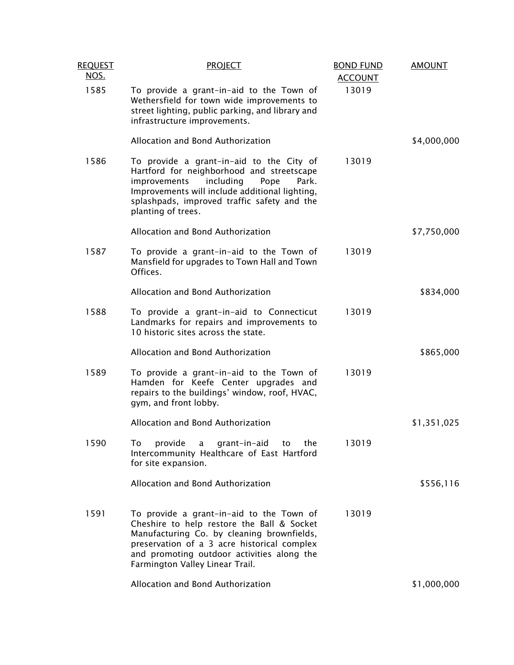| <b>REQUEST</b><br><u>NOS.</u> | <b>PROJECT</b>                                                                                                                                                                                                                                                       | <b>BOND FUND</b><br><b>ACCOUNT</b> | <b>AMOUNT</b> |
|-------------------------------|----------------------------------------------------------------------------------------------------------------------------------------------------------------------------------------------------------------------------------------------------------------------|------------------------------------|---------------|
| 1585                          | To provide a grant-in-aid to the Town of<br>Wethersfield for town wide improvements to<br>street lighting, public parking, and library and<br>infrastructure improvements.                                                                                           | 13019                              |               |
|                               | Allocation and Bond Authorization                                                                                                                                                                                                                                    |                                    | \$4,000,000   |
| 1586                          | To provide a grant-in-aid to the City of<br>Hartford for neighborhood and streetscape<br>including<br>Park.<br>improvements<br>Pope<br>Improvements will include additional lighting,<br>splashpads, improved traffic safety and the<br>planting of trees.           | 13019                              |               |
|                               | Allocation and Bond Authorization                                                                                                                                                                                                                                    |                                    | \$7,750,000   |
| 1587                          | To provide a grant-in-aid to the Town of<br>Mansfield for upgrades to Town Hall and Town<br>Offices.                                                                                                                                                                 | 13019                              |               |
|                               | Allocation and Bond Authorization                                                                                                                                                                                                                                    |                                    | \$834,000     |
| 1588                          | To provide a grant-in-aid to Connecticut<br>Landmarks for repairs and improvements to<br>10 historic sites across the state.                                                                                                                                         | 13019                              |               |
|                               | Allocation and Bond Authorization                                                                                                                                                                                                                                    |                                    | \$865,000     |
| 1589                          | To provide a grant-in-aid to the Town of<br>Hamden for Keefe Center upgrades and<br>repairs to the buildings' window, roof, HVAC,<br>gym, and front lobby.                                                                                                           | 13019                              |               |
|                               | Allocation and Bond Authorization                                                                                                                                                                                                                                    |                                    | \$1,351,025   |
| 1590                          | provide<br>the<br>To<br>grant-in-aid<br>a<br>to<br>Intercommunity Healthcare of East Hartford<br>for site expansion.                                                                                                                                                 | 13019                              |               |
|                               | Allocation and Bond Authorization                                                                                                                                                                                                                                    |                                    | \$556,116     |
| 1591                          | To provide a grant-in-aid to the Town of<br>Cheshire to help restore the Ball & Socket<br>Manufacturing Co. by cleaning brownfields,<br>preservation of a 3 acre historical complex<br>and promoting outdoor activities along the<br>Farmington Valley Linear Trail. | 13019                              |               |
|                               | Allocation and Bond Authorization                                                                                                                                                                                                                                    |                                    | \$1,000,000   |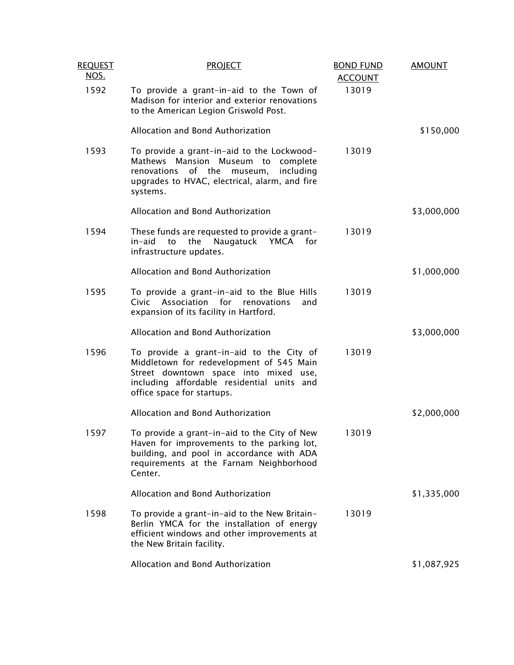| <b>REQUEST</b><br><u>NOS.</u> | <b>PROJECT</b>                                                                                                                                                                                            | <b>BOND FUND</b><br><b>ACCOUNT</b> | <b>AMOUNT</b> |
|-------------------------------|-----------------------------------------------------------------------------------------------------------------------------------------------------------------------------------------------------------|------------------------------------|---------------|
| 1592                          | To provide a grant-in-aid to the Town of<br>Madison for interior and exterior renovations<br>to the American Legion Griswold Post.                                                                        | 13019                              |               |
|                               | Allocation and Bond Authorization                                                                                                                                                                         |                                    | \$150,000     |
| 1593                          | To provide a grant-in-aid to the Lockwood-<br>Mathews Mansion Museum<br>to<br>complete<br>of the<br>renovations<br>including<br>museum,<br>upgrades to HVAC, electrical, alarm, and fire<br>systems.      | 13019                              |               |
|                               | Allocation and Bond Authorization                                                                                                                                                                         |                                    | \$3,000,000   |
| 1594                          | These funds are requested to provide a grant-<br>in-aid<br>to<br>the<br>Naugatuck<br>YMCA<br>for<br>infrastructure updates.                                                                               | 13019                              |               |
|                               | Allocation and Bond Authorization                                                                                                                                                                         |                                    | \$1,000,000   |
| 1595                          | To provide a grant-in-aid to the Blue Hills<br>Association<br>for<br>Civic<br>renovations<br>and<br>expansion of its facility in Hartford.                                                                | 13019                              |               |
|                               | Allocation and Bond Authorization                                                                                                                                                                         |                                    | \$3,000,000   |
| 1596                          | To provide a grant-in-aid to the City of<br>Middletown for redevelopment of 545 Main<br>Street downtown space into mixed use,<br>including affordable residential units and<br>office space for startups. | 13019                              |               |
|                               | Allocation and Bond Authorization                                                                                                                                                                         |                                    | \$2,000,000   |
| 1597                          | To provide a grant-in-aid to the City of New<br>Haven for improvements to the parking lot,<br>building, and pool in accordance with ADA<br>requirements at the Farnam Neighborhood<br>Center.             | 13019                              |               |
|                               | Allocation and Bond Authorization                                                                                                                                                                         |                                    | \$1,335,000   |
| 1598                          | To provide a grant-in-aid to the New Britain-<br>Berlin YMCA for the installation of energy<br>efficient windows and other improvements at<br>the New Britain facility.                                   | 13019                              |               |
|                               | Allocation and Bond Authorization                                                                                                                                                                         |                                    | \$1,087,925   |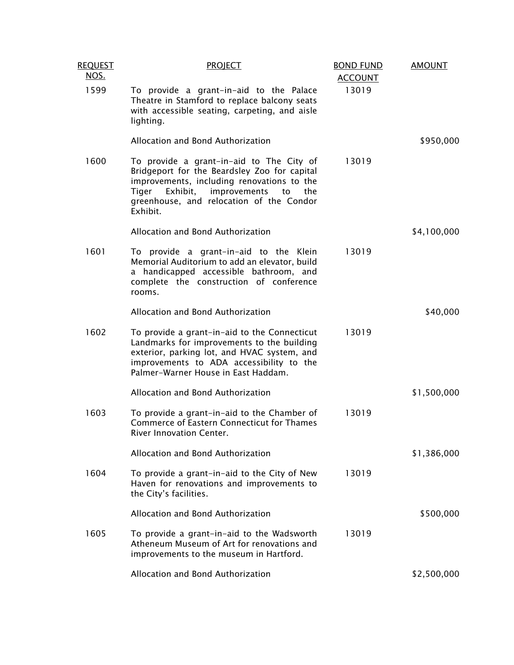| <b>REQUEST</b><br>NOS. | <b>PROJECT</b>                                                                                                                                                                                                                                   | <b>BOND FUND</b><br><b>ACCOUNT</b> | <b>AMOUNT</b> |
|------------------------|--------------------------------------------------------------------------------------------------------------------------------------------------------------------------------------------------------------------------------------------------|------------------------------------|---------------|
| 1599                   | To provide a grant-in-aid to the Palace<br>Theatre in Stamford to replace balcony seats<br>with accessible seating, carpeting, and aisle<br>lighting.                                                                                            | 13019                              |               |
|                        | Allocation and Bond Authorization                                                                                                                                                                                                                |                                    | \$950,000     |
| 1600                   | To provide a grant-in-aid to The City of<br>Bridgeport for the Beardsley Zoo for capital<br>improvements, including renovations to the<br>Exhibit,<br>improvements<br>Tiger<br>the<br>to<br>greenhouse, and relocation of the Condor<br>Exhibit. | 13019                              |               |
|                        | Allocation and Bond Authorization                                                                                                                                                                                                                |                                    | \$4,100,000   |
| 1601                   | To provide a grant-in-aid to the Klein<br>Memorial Auditorium to add an elevator, build<br>a handicapped accessible bathroom, and<br>complete the construction of conference<br>rooms.                                                           | 13019                              |               |
|                        | Allocation and Bond Authorization                                                                                                                                                                                                                |                                    | \$40,000      |
| 1602                   | To provide a grant-in-aid to the Connecticut<br>Landmarks for improvements to the building<br>exterior, parking lot, and HVAC system, and<br>improvements to ADA accessibility to the<br>Palmer-Warner House in East Haddam.                     | 13019                              |               |
|                        | Allocation and Bond Authorization                                                                                                                                                                                                                |                                    | \$1,500,000   |
| 1603                   | To provide a grant-in-aid to the Chamber of<br>Commerce of Eastern Connecticut for Thames<br>River Innovation Center.                                                                                                                            | 13019                              |               |
|                        | Allocation and Bond Authorization                                                                                                                                                                                                                |                                    | \$1,386,000   |
| 1604                   | To provide a grant-in-aid to the City of New<br>Haven for renovations and improvements to<br>the City's facilities.                                                                                                                              | 13019                              |               |
|                        | Allocation and Bond Authorization                                                                                                                                                                                                                |                                    | \$500,000     |
| 1605                   | To provide a grant-in-aid to the Wadsworth<br>Atheneum Museum of Art for renovations and<br>improvements to the museum in Hartford.                                                                                                              | 13019                              |               |
|                        | Allocation and Bond Authorization                                                                                                                                                                                                                |                                    | \$2,500,000   |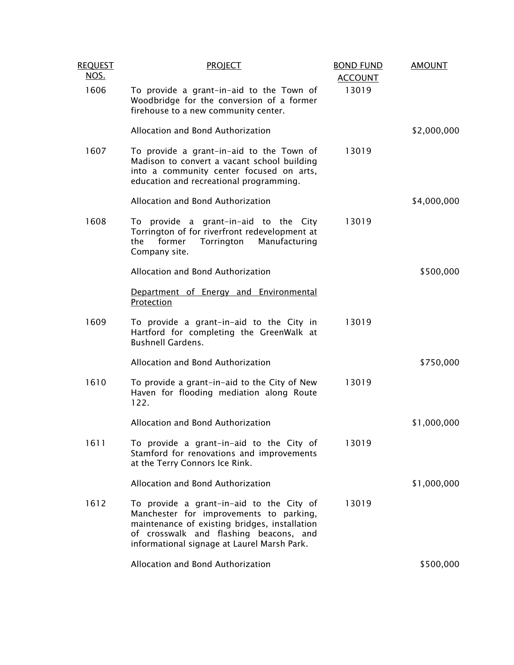| <b>REQUEST</b><br><u>NOS.</u> | <b>PROJECT</b>                                                                                                                                                                                                                | <b>BOND FUND</b><br><b>ACCOUNT</b> | <b>AMOUNT</b> |
|-------------------------------|-------------------------------------------------------------------------------------------------------------------------------------------------------------------------------------------------------------------------------|------------------------------------|---------------|
| 1606                          | To provide a grant-in-aid to the Town of<br>Woodbridge for the conversion of a former<br>firehouse to a new community center.                                                                                                 | 13019                              |               |
|                               | Allocation and Bond Authorization                                                                                                                                                                                             |                                    | \$2,000,000   |
| 1607                          | To provide a grant-in-aid to the Town of<br>Madison to convert a vacant school building<br>into a community center focused on arts,<br>education and recreational programming.                                                | 13019                              |               |
|                               | Allocation and Bond Authorization                                                                                                                                                                                             |                                    | \$4,000,000   |
| 1608                          | To provide a grant-in-aid to the City<br>Torrington of for riverfront redevelopment at<br>the<br>former<br>Torrington<br>Manufacturing<br>Company site.                                                                       | 13019                              |               |
|                               | Allocation and Bond Authorization                                                                                                                                                                                             |                                    | \$500,000     |
|                               | Department of Energy and Environmental<br>Protection                                                                                                                                                                          |                                    |               |
| 1609                          | To provide a grant-in-aid to the City in<br>Hartford for completing the GreenWalk at<br><b>Bushnell Gardens.</b>                                                                                                              | 13019                              |               |
|                               | Allocation and Bond Authorization                                                                                                                                                                                             |                                    | \$750,000     |
| 1610                          | To provide a grant-in-aid to the City of New<br>Haven for flooding mediation along Route<br>122.                                                                                                                              | 13019                              |               |
|                               | Allocation and Bond Authorization                                                                                                                                                                                             |                                    | \$1,000,000   |
| 1611                          | To provide a grant-in-aid to the City of<br>Stamford for renovations and improvements<br>at the Terry Connors Ice Rink.                                                                                                       | 13019                              |               |
|                               | Allocation and Bond Authorization                                                                                                                                                                                             |                                    | \$1,000,000   |
| 1612                          | To provide a grant-in-aid to the City of<br>Manchester for improvements to parking,<br>maintenance of existing bridges, installation<br>of crosswalk and flashing beacons, and<br>informational signage at Laurel Marsh Park. | 13019                              |               |
|                               | Allocation and Bond Authorization                                                                                                                                                                                             |                                    | \$500,000     |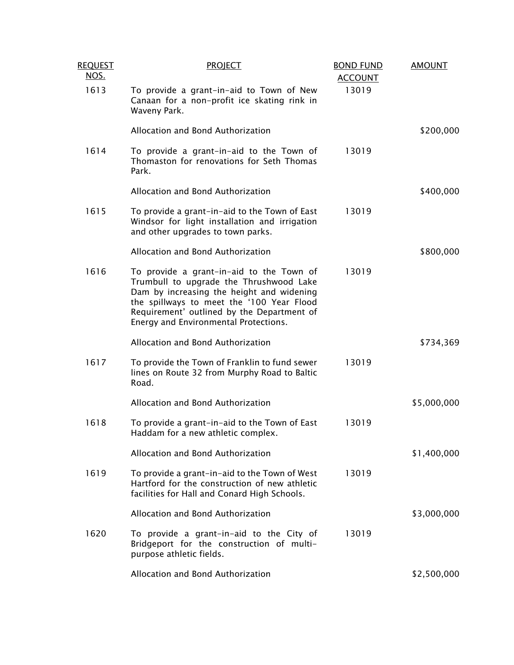| <b>REQUEST</b><br>NOS. | <b>PROJECT</b>                                                                                                                                                                                                                                                       | <b>BOND FUND</b><br><b>ACCOUNT</b> | <b>AMOUNT</b> |
|------------------------|----------------------------------------------------------------------------------------------------------------------------------------------------------------------------------------------------------------------------------------------------------------------|------------------------------------|---------------|
| 1613                   | To provide a grant-in-aid to Town of New<br>Canaan for a non-profit ice skating rink in<br>Waveny Park.                                                                                                                                                              | 13019                              |               |
|                        | Allocation and Bond Authorization                                                                                                                                                                                                                                    |                                    | \$200,000     |
| 1614                   | To provide a grant-in-aid to the Town of<br>Thomaston for renovations for Seth Thomas<br>Park.                                                                                                                                                                       | 13019                              |               |
|                        | Allocation and Bond Authorization                                                                                                                                                                                                                                    |                                    | \$400,000     |
| 1615                   | To provide a grant-in-aid to the Town of East<br>Windsor for light installation and irrigation<br>and other upgrades to town parks.                                                                                                                                  | 13019                              |               |
|                        | Allocation and Bond Authorization                                                                                                                                                                                                                                    |                                    | \$800,000     |
| 1616                   | To provide a grant-in-aid to the Town of<br>Trumbull to upgrade the Thrushwood Lake<br>Dam by increasing the height and widening<br>the spillways to meet the '100 Year Flood<br>Requirement' outlined by the Department of<br>Energy and Environmental Protections. | 13019                              |               |
|                        | Allocation and Bond Authorization                                                                                                                                                                                                                                    |                                    | \$734,369     |
| 1617                   | To provide the Town of Franklin to fund sewer<br>lines on Route 32 from Murphy Road to Baltic<br>Road.                                                                                                                                                               | 13019                              |               |
|                        | Allocation and Bond Authorization                                                                                                                                                                                                                                    |                                    | \$5,000,000   |
| 1618                   | To provide a grant-in-aid to the Town of East<br>Haddam for a new athletic complex.                                                                                                                                                                                  | 13019                              |               |
|                        | Allocation and Bond Authorization                                                                                                                                                                                                                                    |                                    | \$1,400,000   |
| 1619                   | To provide a grant-in-aid to the Town of West<br>Hartford for the construction of new athletic<br>facilities for Hall and Conard High Schools.                                                                                                                       | 13019                              |               |
|                        | Allocation and Bond Authorization                                                                                                                                                                                                                                    |                                    | \$3,000,000   |
| 1620                   | To provide a grant-in-aid to the City of<br>Bridgeport for the construction of multi-<br>purpose athletic fields.                                                                                                                                                    | 13019                              |               |
|                        | Allocation and Bond Authorization                                                                                                                                                                                                                                    |                                    | \$2,500,000   |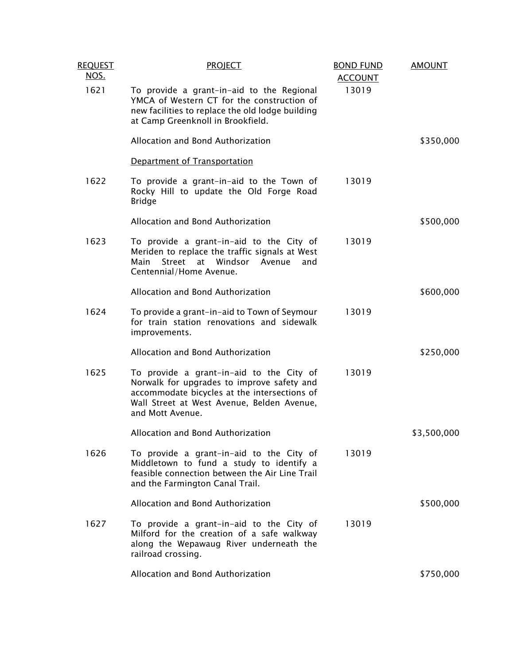| <b>REQUEST</b><br><u>NOS.</u> | <b>PROJECT</b>                                                                                                                                                                                           | <b>BOND FUND</b><br><b>ACCOUNT</b> | <b>AMOUNT</b> |
|-------------------------------|----------------------------------------------------------------------------------------------------------------------------------------------------------------------------------------------------------|------------------------------------|---------------|
| 1621                          | To provide a grant-in-aid to the Regional<br>YMCA of Western CT for the construction of<br>new facilities to replace the old lodge building<br>at Camp Greenknoll in Brookfield.                         | 13019                              |               |
|                               | Allocation and Bond Authorization                                                                                                                                                                        |                                    | \$350,000     |
|                               | Department of Transportation                                                                                                                                                                             |                                    |               |
| 1622                          | To provide a grant-in-aid to the Town of<br>Rocky Hill to update the Old Forge Road<br><b>Bridge</b>                                                                                                     | 13019                              |               |
|                               | Allocation and Bond Authorization                                                                                                                                                                        |                                    | \$500,000     |
| 1623                          | To provide a grant-in-aid to the City of<br>Meriden to replace the traffic signals at West<br>Street at Windsor<br>Main<br>Avenue<br>and<br>Centennial/Home Avenue.                                      | 13019                              |               |
|                               | Allocation and Bond Authorization                                                                                                                                                                        |                                    | \$600,000     |
| 1624                          | To provide a grant-in-aid to Town of Seymour<br>for train station renovations and sidewalk<br>improvements.                                                                                              | 13019                              |               |
|                               | Allocation and Bond Authorization                                                                                                                                                                        |                                    | \$250,000     |
| 1625                          | To provide a grant-in-aid to the City of<br>Norwalk for upgrades to improve safety and<br>accommodate bicycles at the intersections of<br>Wall Street at West Avenue, Belden Avenue,<br>and Mott Avenue. | 13019                              |               |
|                               | Allocation and Bond Authorization                                                                                                                                                                        |                                    | \$3,500,000   |
| 1626                          | To provide a grant-in-aid to the City of<br>Middletown to fund a study to identify a<br>feasible connection between the Air Line Trail<br>and the Farmington Canal Trail.                                | 13019                              |               |
|                               | Allocation and Bond Authorization                                                                                                                                                                        |                                    | \$500,000     |
| 1627                          | To provide a grant-in-aid to the City of<br>Milford for the creation of a safe walkway<br>along the Wepawaug River underneath the<br>railroad crossing.                                                  | 13019                              |               |
|                               | Allocation and Bond Authorization                                                                                                                                                                        |                                    | \$750,000     |